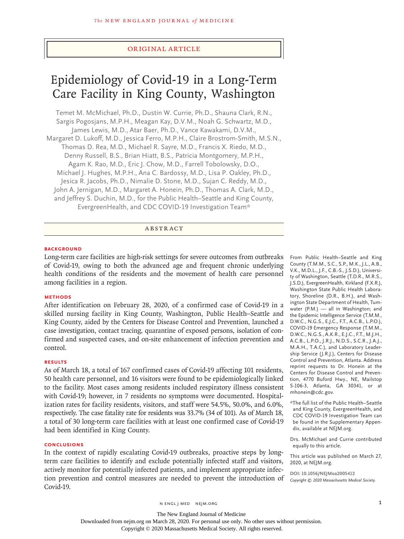## Original Article

# Epidemiology of Covid-19 in a Long-Term Care Facility in King County, Washington

Temet M. McMichael, Ph.D., Dustin W. Currie, Ph.D., Shauna Clark, R.N., Sargis Pogosjans, M.P.H., Meagan Kay, D.V.M., Noah G. Schwartz, M.D., James Lewis, M.D., Atar Baer, Ph.D., Vance Kawakami, D.V.M., Margaret D. Lukoff, M.D., Jessica Ferro, M.P.H., Claire Brostrom-Smith, M.S.N., Thomas D. Rea, M.D., Michael R. Sayre, M.D., Francis X. Riedo, M.D., Denny Russell, B.S., Brian Hiatt, B.S., Patricia Montgomery, M.P.H., Agam K. Rao, M.D., Eric J. Chow, M.D., Farrell Tobolowsky, D.O., Michael J. Hughes, M.P.H., Ana C. Bardossy, M.D., Lisa P. Oakley, Ph.D., Jesica R. Jacobs, Ph.D., Nimalie D. Stone, M.D., Sujan C. Reddy, M.D., John A. Jernigan, M.D., Margaret A. Honein, Ph.D., Thomas A. Clark, M.D., and Jeffrey S. Duchin, M.D., for the Public Health–Seattle and King County, EvergreenHealth, and CDC COVID-19 Investigation Team\*

# ABSTRACT

#### **BACKGROUND**

Long-term care facilities are high-risk settings for severe outcomes from outbreaks of Covid-19, owing to both the advanced age and frequent chronic underlying health conditions of the residents and the movement of health care personnel among facilities in a region.

### **METHODS**

After identification on February 28, 2020, of a confirmed case of Covid-19 in a skilled nursing facility in King County, Washington, Public Health–Seattle and King County, aided by the Centers for Disease Control and Prevention, launched a case investigation, contact tracing, quarantine of exposed persons, isolation of confirmed and suspected cases, and on-site enhancement of infection prevention and control.

#### **RESULTS**

As of March 18, a total of 167 confirmed cases of Covid-19 affecting 101 residents, 50 health care personnel, and 16 visitors were found to be epidemiologically linked to the facility. Most cases among residents included respiratory illness consistent with Covid-19; however, in 7 residents no symptoms were documented. Hospitalization rates for facility residents, visitors, and staff were 54.5%, 50.0%, and 6.0%, respectively. The case fatality rate for residents was 33.7% (34 of 101). As of March 18, a total of 30 long-term care facilities with at least one confirmed case of Covid-19 had been identified in King County.

#### **CONCLUSIONS**

In the context of rapidly escalating Covid-19 outbreaks, proactive steps by longterm care facilities to identify and exclude potentially infected staff and visitors, actively monitor for potentially infected patients, and implement appropriate infection prevention and control measures are needed to prevent the introduction of Covid-19.

From Public Health–Seattle and King County (T.M.M., S.C., S.P., M.K., J.L., A.B., V.K., M.D.L., J.F., C.B.-S., J.S.D.), University of Washington, Seattle (T.D.R., M.R.S., J.S.D.), EvergreenHealth, Kirkland (F.X.R.), Washington State Public Health Laboratory, Shoreline (D.R., B.H.), and Washington State Department of Health, Tumwater (P.M.) — all in Washington; and the Epidemic Intelligence Service (T.M.M., D.W.C., N.G.S., E.J.C., F.T., A.C.B., L.P.O.), COVID-19 Emergency Response (T.M.M., D.W.C., N.G.S., A.K.R., E.J.C., F.T., M.J.H., A.C.B., L.P.O., J.R.J., N.D.S., S.C.R., J.A.J., M.A.H., T.A.C.), and Laboratory Leadership Service (J.R.J.), Centers for Disease Control and Prevention, Atlanta. Address reprint requests to Dr. Honein at the Centers for Disease Control and Prevention, 4770 Buford Hwy., NE, Mailstop S-106-3, Atlanta, GA 30341, or at mhonein@cdc.gov.

\*The full list of the Public Health–Seattle and King County, EvergreenHealth, and CDC COVID-19 Investigation Team can be found in the Supplementary Appendix, available at NEJM.org.

Drs. McMichael and Currie contributed equally to this article.

This article was published on March 27, 2020, at NEJM.org.

**DOI: 10.1056/NEJMoa2005412** *Copyright © 2020 Massachusetts Medical Society.*

n engl j med nejm.org 1

Downloaded from nejm.org on March 28, 2020. For personal use only. No other uses without permission.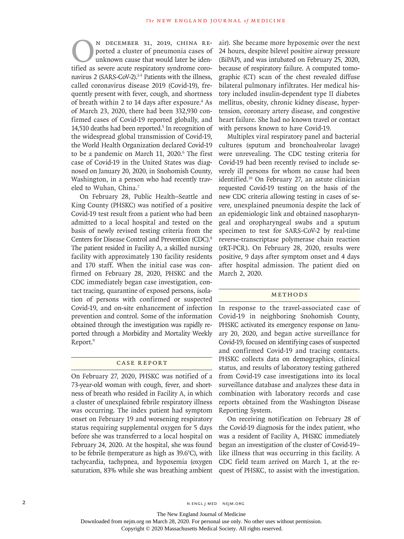N DECEMBER 31, 2019, CHINA RE-<br>ported a cluster of pneumonia cases of<br>unknown cause that would later be iden-<br>tified as severe acute respiratory syndrome coroported a cluster of pneumonia cases of unknown cause that would later be identified as severe acute respiratory syndrome coronavirus 2 (SARS-CoV-2).<sup>1-3</sup> Patients with the illness, called coronavirus disease 2019 (Covid-19), frequently present with fever, cough, and shortness of breath within 2 to 14 days after exposure.<sup>4</sup> As of March 23, 2020, there had been 332,930 confirmed cases of Covid-19 reported globally, and 14,510 deaths had been reported.<sup>5</sup> In recognition of the widespread global transmission of Covid-19, the World Health Organization declared Covid-19 to be a pandemic on March 11, 2020.<sup>6</sup> The first case of Covid-19 in the United States was diagnosed on January 20, 2020, in Snohomish County, Washington, in a person who had recently traveled to Wuhan, China.<sup>7</sup>

On February 28, Public Health–Seattle and King County (PHSKC) was notified of a positive Covid-19 test result from a patient who had been admitted to a local hospital and tested on the basis of newly revised testing criteria from the Centers for Disease Control and Prevention (CDC).<sup>8</sup> The patient resided in Facility A, a skilled nursing facility with approximately 130 facility residents and 170 staff. When the initial case was confirmed on February 28, 2020, PHSKC and the CDC immediately began case investigation, contact tracing, quarantine of exposed persons, isolation of persons with confirmed or suspected Covid-19, and on-site enhancement of infection prevention and control. Some of the information obtained through the investigation was rapidly reported through a Morbidity and Mortality Weekly Report.9

### Case Report

On February 27, 2020, PHSKC was notified of a 73-year-old woman with cough, fever, and shortness of breath who resided in Facility A, in which a cluster of unexplained febrile respiratory illness was occurring. The index patient had symptom onset on February 19 and worsening respiratory status requiring supplemental oxygen for 5 days before she was transferred to a local hospital on February 24, 2020. At the hospital, she was found to be febrile (temperature as high as 39.6°C), with tachycardia, tachypnea, and hypoxemia (oxygen saturation, 83% while she was breathing ambient air). She became more hypoxemic over the next 24 hours, despite bilevel positive airway pressure (BiPAP), and was intubated on February 25, 2020, because of respiratory failure. A computed tomographic (CT) scan of the chest revealed diffuse bilateral pulmonary infiltrates. Her medical history included insulin-dependent type II diabetes mellitus, obesity, chronic kidney disease, hypertension, coronary artery disease, and congestive heart failure. She had no known travel or contact with persons known to have Covid-19.

Multiplex viral respiratory panel and bacterial cultures (sputum and bronchoalveolar lavage) were unrevealing. The CDC testing criteria for Covid-19 had been recently revised to include severely ill persons for whom no cause had been identified.10 On February 27, an astute clinician requested Covid-19 testing on the basis of the new CDC criteria allowing testing in cases of severe, unexplained pneumonia despite the lack of an epidemiologic link and obtained nasopharyngeal and oropharyngeal swabs and a sputum specimen to test for SARS-CoV-2 by real-time reverse-transcriptase polymerase chain reaction (rRT-PCR). On February 28, 2020, results were positive, 9 days after symptom onset and 4 days after hospital admission. The patient died on March 2, 2020.

# Methods

In response to the travel-associated case of Covid-19 in neighboring Snohomish County, PHSKC activated its emergency response on January 20, 2020, and began active surveillance for Covid-19, focused on identifying cases of suspected and confirmed Covid-19 and tracing contacts. PHSKC collects data on demographics, clinical status, and results of laboratory testing gathered from Covid-19 case investigations into its local surveillance database and analyzes these data in combination with laboratory records and case reports obtained from the Washington Disease Reporting System.

On receiving notification on February 28 of the Covid-19 diagnosis for the index patient, who was a resident of Facility A, PHSKC immediately began an investigation of the cluster of Covid-19– like illness that was occurring in this facility. A CDC field team arrived on March 1, at the request of PHSKC, to assist with the investigation.

The New England Journal of Medicine

Downloaded from nejm.org on March 28, 2020. For personal use only. No other uses without permission.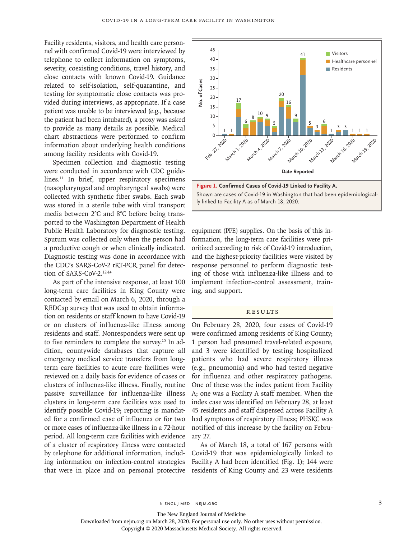Facility residents, visitors, and health care personnel with confirmed Covid-19 were interviewed by telephone to collect information on symptoms, severity, coexisting conditions, travel history, and close contacts with known Covid-19. Guidance related to self-isolation, self-quarantine, and testing for symptomatic close contacts was provided during interviews, as appropriate. If a case patient was unable to be interviewed (e.g., because the patient had been intubated), a proxy was asked to provide as many details as possible. Medical chart abstractions were performed to confirm information about underlying health conditions among facility residents with Covid-19.

Specimen collection and diagnostic testing were conducted in accordance with CDC guidelines.<sup>11</sup> In brief, upper respiratory specimens (nasopharyngeal and oropharyngeal swabs) were collected with synthetic fiber swabs. Each swab was stored in a sterile tube with viral transport media between 2°C and 8°C before being transported to the Washington Department of Health Public Health Laboratory for diagnostic testing. Sputum was collected only when the person had a productive cough or when clinically indicated. Diagnostic testing was done in accordance with the CDC's SARS-CoV-2 rRT-PCR panel for detection of SARS-CoV-2.12-14

As part of the intensive response, at least 100 long-term care facilities in King County were contacted by email on March 6, 2020, through a REDCap survey that was used to obtain information on residents or staff known to have Covid-19 or on clusters of influenza-like illness among residents and staff. Nonresponders were sent up to five reminders to complete the survey.15 In addition, countywide databases that capture all emergency medical service transfers from longterm care facilities to acute care facilities were reviewed on a daily basis for evidence of cases or clusters of influenza-like illness. Finally, routine passive surveillance for influenza-like illness clusters in long-term care facilities was used to identify possible Covid-19; reporting is mandated for a confirmed case of influenza or for two or more cases of influenza-like illness in a 72-hour period. All long-term care facilities with evidence of a cluster of respiratory illness were contacted by telephone for additional information, including information on infection-control strategies that were in place and on personal protective



equipment (PPE) supplies. On the basis of this information, the long-term care facilities were prioritized according to risk of Covid-19 introduction, and the highest-priority facilities were visited by response personnel to perform diagnostic testing of those with influenza-like illness and to implement infection-control assessment, training, and support.

#### **RESULTS**

On February 28, 2020, four cases of Covid-19 were confirmed among residents of King County; 1 person had presumed travel-related exposure, and 3 were identified by testing hospitalized patients who had severe respiratory illness (e.g., pneumonia) and who had tested negative for influenza and other respiratory pathogens. One of these was the index patient from Facility A; one was a Facility A staff member. When the index case was identified on February 28, at least 45 residents and staff dispersed across Facility A had symptoms of respiratory illness; PHSKC was notified of this increase by the facility on February 27.

As of March 18, a total of 167 persons with Covid-19 that was epidemiologically linked to Facility A had been identified (Fig. 1); 144 were residents of King County and 23 were residents

The New England Journal of Medicine

Downloaded from nejm.org on March 28, 2020. For personal use only. No other uses without permission.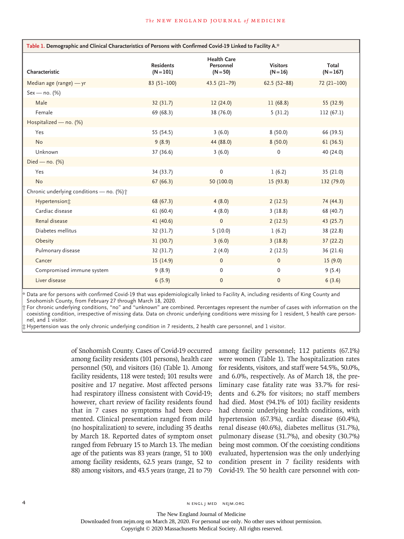| Table 1. Demographic and Clinical Characteristics of Persons with Confirmed Covid-19 Linked to Facility A.* |                                 |                                               |                               |                      |
|-------------------------------------------------------------------------------------------------------------|---------------------------------|-----------------------------------------------|-------------------------------|----------------------|
| Characteristic                                                                                              | <b>Residents</b><br>$(N = 101)$ | <b>Health Care</b><br>Personnel<br>$(N = 50)$ | <b>Visitors</b><br>$(N = 16)$ | Total<br>$(N = 167)$ |
| Median age (range) - yr                                                                                     | $83(51-100)$                    | $43.5(21-79)$                                 | $62.5(52-88)$                 | $72(21-100)$         |
| $Sex - no. (%)$                                                                                             |                                 |                                               |                               |                      |
| Male                                                                                                        | 32(31.7)                        | 12(24.0)                                      | 11(68.8)                      | 55 (32.9)            |
| Female                                                                                                      | 69 (68.3)                       | 38 (76.0)                                     | 5(31.2)                       | 112(67.1)            |
| Hospitalized - no. (%)                                                                                      |                                 |                                               |                               |                      |
| Yes                                                                                                         | 55 (54.5)                       | 3(6.0)                                        | 8(50.0)                       | 66 (39.5)            |
| <b>No</b>                                                                                                   | 9(8.9)                          | 44 (88.0)                                     | 8(50.0)                       | 61(36.5)             |
| Unknown                                                                                                     | 37 (36.6)                       | 3(6.0)                                        | 0                             | 40 (24.0)            |
| Died — $no.$ (%)                                                                                            |                                 |                                               |                               |                      |
| Yes                                                                                                         | 34 (33.7)                       | 0                                             | 1(6.2)                        | 35 (21.0)            |
| <b>No</b>                                                                                                   | 67(66.3)                        | 50 (100.0)                                    | 15(93.8)                      | 132 (79.0)           |
| Chronic underlying conditions - no. (%) +                                                                   |                                 |                                               |                               |                      |
| Hypertension:                                                                                               | 68 (67.3)                       | 4(8.0)                                        | 2(12.5)                       | 74 (44.3)            |
| Cardiac disease                                                                                             | 61(60.4)                        | 4(8.0)                                        | 3(18.8)                       | 68 (40.7)            |
| Renal disease                                                                                               | 41 (40.6)                       | $\mathbf{0}$                                  | 2(12.5)                       | 43 (25.7)            |
| Diabetes mellitus                                                                                           | 32 (31.7)                       | 5(10.0)                                       | 1(6.2)                        | 38 (22.8)            |
| Obesity                                                                                                     | 31(30.7)                        | 3(6.0)                                        | 3(18.8)                       | 37(22.2)             |
| Pulmonary disease                                                                                           | 32 (31.7)                       | 2(4.0)                                        | 2(12.5)                       | 36 (21.6)            |
| Cancer                                                                                                      | 15(14.9)                        | $\mathbf{0}$                                  | $\mathbf{0}$                  | 15(9.0)              |
| Compromised immune system                                                                                   | 9(8.9)                          | $\mathbf 0$                                   | $\mathbf 0$                   | 9(5.4)               |
| Liver disease                                                                                               | 6(5.9)                          | $\Omega$                                      | $\Omega$                      | 6(3.6)               |

Data are for persons with confirmed Covid-19 that was epidemiologically linked to Facility A, including residents of King County and Snohomish County, from February 27 through March 18, 2020.

† For chronic underlying conditions, "no" and "unknown" are combined. Percentages represent the number of cases with information on the coexisting condition, irrespective of missing data. Data on chronic underlying conditions were missing for 1 resident, 5 health care personnel, and 1 visitor.

‡ Hypertension was the only chronic underlying condition in 7 residents, 2 health care personnel, and 1 visitor.

of Snohomish County. Cases of Covid-19 occurred among facility residents (101 persons), health care personnel (50), and visitors (16) (Table 1). Among facility residents, 118 were tested; 101 results were positive and 17 negative. Most affected persons had respiratory illness consistent with Covid-19; however, chart review of facility residents found that in 7 cases no symptoms had been documented. Clinical presentation ranged from mild (no hospitalization) to severe, including 35 deaths by March 18. Reported dates of symptom onset ranged from February 15 to March 13. The median age of the patients was 83 years (range, 51 to 100) among facility residents, 62.5 years (range, 52 to 88) among visitors, and 43.5 years (range, 21 to 79)

among facility personnel; 112 patients (67.1%) were women (Table 1). The hospitalization rates for residents, visitors, and staff were 54.5%, 50.0%, and 6.0%, respectively. As of March 18, the preliminary case fatality rate was 33.7% for residents and 6.2% for visitors; no staff members had died. Most (94.1% of 101) facility residents had chronic underlying health conditions, with hypertension (67.3%), cardiac disease (60.4%), renal disease (40.6%), diabetes mellitus (31.7%), pulmonary disease (31.7%), and obesity (30.7%) being most common. Of the coexisting conditions evaluated, hypertension was the only underlying condition present in 7 facility residents with Covid-19. The 50 health care personnel with con-

The New England Journal of Medicine

Downloaded from nejm.org on March 28, 2020. For personal use only. No other uses without permission.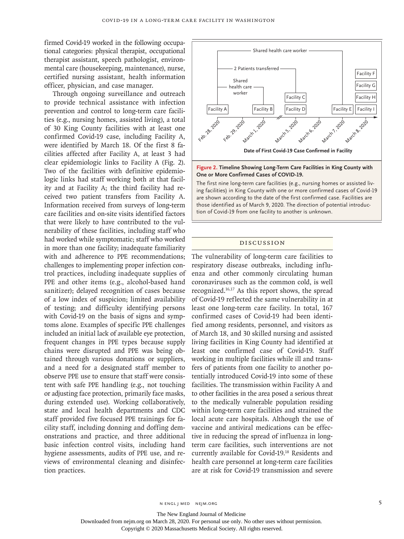firmed Covid-19 worked in the following occupational categories: physical therapist, occupational therapist assistant, speech pathologist, environmental care (housekeeping, maintenance), nurse, certified nursing assistant, health information officer, physician, and case manager.

Through ongoing surveillance and outreach to provide technical assistance with infection prevention and control to long-term care facilities (e.g., nursing homes, assisted living), a total of 30 King County facilities with at least one confirmed Covid-19 case, including Facility A, were identified by March 18. Of the first 8 facilities affected after Facility A, at least 3 had clear epidemiologic links to Facility A (Fig. 2). Two of the facilities with definitive epidemiologic links had staff working both at that facility and at Facility A; the third facility had received two patient transfers from Facility A. Information received from surveys of long-term care facilities and on-site visits identified factors that were likely to have contributed to the vulnerability of these facilities, including staff who had worked while symptomatic; staff who worked in more than one facility; inadequate familiarity with and adherence to PPE recommendations; challenges to implementing proper infection control practices, including inadequate supplies of PPE and other items (e.g., alcohol-based hand sanitizer); delayed recognition of cases because of a low index of suspicion; limited availability of testing; and difficulty identifying persons with Covid-19 on the basis of signs and symptoms alone. Examples of specific PPE challenges included an initial lack of available eye protection, frequent changes in PPE types because supply chains were disrupted and PPE was being obtained through various donations or suppliers, and a need for a designated staff member to observe PPE use to ensure that staff were consistent with safe PPE handling (e.g., not touching or adjusting face protection, primarily face masks, during extended use). Working collaboratively, state and local health departments and CDC staff provided five focused PPE trainings for facility staff, including donning and doffing demonstrations and practice, and three additional basic infection control visits, including hand hygiene assessments, audits of PPE use, and reviews of environmental cleaning and disinfection practices.





The first nine long-term care facilities (e.g., nursing homes or assisted living facilities) in King County with one or more confirmed cases of Covid-19 are shown according to the date of the first confirmed case. Facilities are those identified as of March 9, 2020. The direction of potential introduction of Covid-19 from one facility to another is unknown.

#### Discussion

The vulnerability of long-term care facilities to respiratory disease outbreaks, including influenza and other commonly circulating human coronaviruses such as the common cold, is well recognized.16,17 As this report shows, the spread of Covid-19 reflected the same vulnerability in at least one long-term care facility. In total, 167 confirmed cases of Covid-19 had been identified among residents, personnel, and visitors as of March 18, and 30 skilled nursing and assisted living facilities in King County had identified at least one confirmed case of Covid-19. Staff working in multiple facilities while ill and transfers of patients from one facility to another potentially introduced Covid-19 into some of these facilities. The transmission within Facility A and to other facilities in the area posed a serious threat to the medically vulnerable population residing within long-term care facilities and strained the local acute care hospitals. Although the use of vaccine and antiviral medications can be effective in reducing the spread of influenza in longterm care facilities, such interventions are not currently available for Covid-19.18 Residents and health care personnel at long-term care facilities are at risk for Covid-19 transmission and severe

The New England Journal of Medicine

Downloaded from nejm.org on March 28, 2020. For personal use only. No other uses without permission.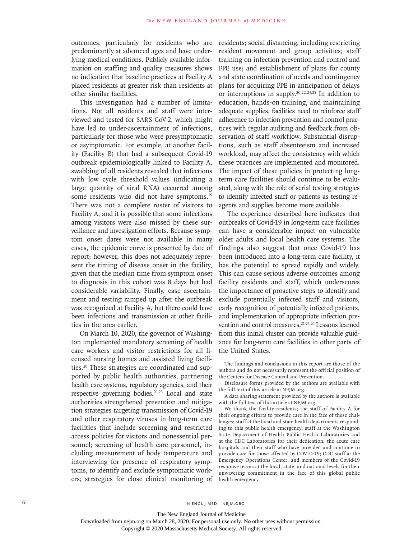outcomes, particularly for residents who are predominantly at advanced ages and have underlying medical conditions. Publicly available information on staffing and quality measures shows no indication that baseline practices at Facility A placed residents at greater risk than residents at other similar facilities.

This investigation had a number of limitations. Not all residents and staff were interviewed and tested for SARS-CoV-2, which might have led to under-ascertainment of infections, particularly for those who were presymptomatic or asymptomatic. For example, at another facility (Facility B) that had a subsequent Covid-19 outbreak epidemiologically linked to Facility A, swabbing of all residents revealed that infections with low cycle threshold values (indicating a large quantity of viral RNA) occurred among some residents who did not have symptoms.<sup>19</sup> There was not a complete roster of visitors to Facility A, and it is possible that some infections among visitors were also missed by these surveillance and investigation efforts. Because symptom onset dates were not available in many cases, the epidemic curve is presented by date of report; however, this does not adequately represent the timing of disease onset in the facility, given that the median time from symptom onset to diagnosis in this cohort was 8 days but had considerable variability. Finally, case ascertainment and testing ramped up after the outbreak was recognized at Facility A, but there could have been infections and transmission at other facilities in the area earlier.

On March 10, 2020, the governor of Washington implemented mandatory screening of health care workers and visitor restrictions for all licensed nursing homes and assisted living facilities.20 These strategies are coordinated and supported by public health authorities, partnering health care systems, regulatory agencies, and their respective governing bodies.20-23 Local and state authorities strengthened prevention and mitigation strategies targeting transmission of Covid-19 and other respiratory viruses in long-term care facilities that include screening and restricted access policies for visitors and nonessential personnel; screening of health care personnel, including measurement of body temperature and interviewing for presence of respiratory symptoms, to identify and exclude symptomatic workers; strategies for close clinical monitoring of residents; social distancing, including restricting resident movement and group activities; staff training on infection prevention and control and PPE use; and establishment of plans for county and state coordination of needs and contingency plans for acquiring PPE in anticipation of delays or interruptions in supply.20,22,24,25 In addition to education, hands-on training, and maintaining adequate supplies, facilities need to reinforce staff adherence to infection prevention and control practices with regular auditing and feedback from observation of staff workflow. Substantial disruptions, such as staff absenteeism and increased workload, may affect the consistency with which these practices are implemented and monitored. The impact of these policies in protecting longterm care facilities should continue to be evaluated, along with the role of serial testing strategies to identify infected staff or patients as testing reagents and supplies become more available.

The experience described here indicates that outbreaks of Covid-19 in long-term care facilities can have a considerable impact on vulnerable older adults and local health care systems. The findings also suggest that once Covid-19 has been introduced into a long-term care facility, it has the potential to spread rapidly and widely. This can cause serious adverse outcomes among facility residents and staff, which underscores the importance of proactive steps to identify and exclude potentially infected staff and visitors, early recognition of potentially infected patients, and implementation of appropriate infection prevention and control measures.<sup>21-24,26</sup> Lessons learned from this initial cluster can provide valuable guidance for long-term care facilities in other parts of the United States.

The findings and conclusions in this report are those of the authors and do not necessarily represent the official position of the Centers for Disease Control and Prevention.

Disclosure forms provided by the authors are available with the full text of this article at NEJM.org.

A data sharing statement provided by the authors is available with the full text of this article at NEJM.org.

We thank the facility residents; the staff of Facility A for their ongoing efforts to provide care in the face of these challenges; staff at the local and state health departments responding to this public health emergency; staff at the Washington State Department of Health Public Health Laboratories and at the CDC Laboratories for their dedication; the acute care hospitals and their staff who have provided and continue to provide care for those affected by COVID-19; CDC staff at the Emergency Operations Center; and members of the Covid-19 response teams at the local, state, and national levels for their unwavering commitment in the face of this global public health emergency.

The New England Journal of Medicine

Downloaded from nejm.org on March 28, 2020. For personal use only. No other uses without permission.